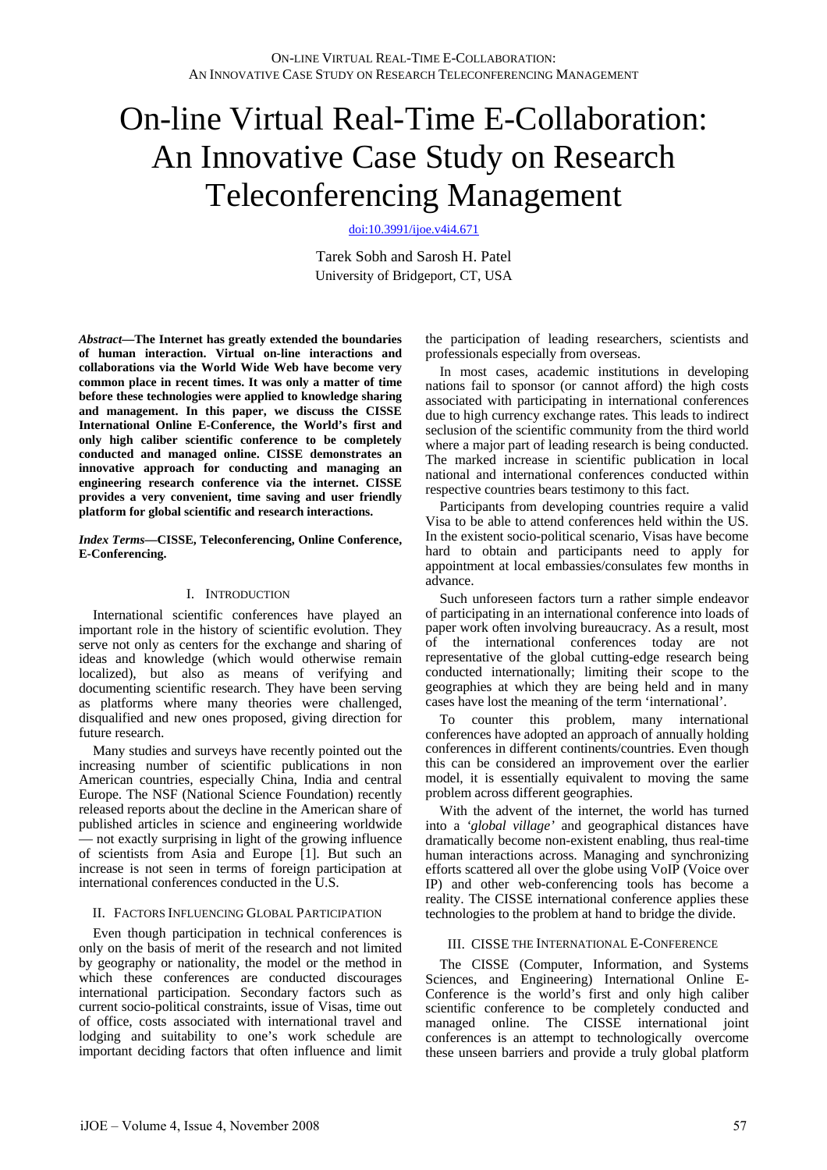# On-line Virtual Real-Time E-Collaboration: An Innovative Case Study on Research Teleconferencing Management

[doi:10.3991/ijoe.v4i4.671](http://dx.doi.org/10.3991/ijoe.v4i4.671)

Tarek Sobh and Sarosh H. Patel University of Bridgeport, CT, USA

*Abstract***—The Internet has greatly extended the boundaries of human interaction. Virtual on-line interactions and collaborations via the World Wide Web have become very common place in recent times. It was only a matter of time before these technologies were applied to knowledge sharing and management. In this paper, we discuss the CISSE International Online E-Conference, the World's first and only high caliber scientific conference to be completely conducted and managed online. CISSE demonstrates an innovative approach for conducting and managing an engineering research conference via the internet. CISSE provides a very convenient, time saving and user friendly platform for global scientific and research interactions.** 

#### *Index Terms***—CISSE, Teleconferencing, Online Conference, E-Conferencing.**

## I. INTRODUCTION

International scientific conferences have played an important role in the history of scientific evolution. They serve not only as centers for the exchange and sharing of ideas and knowledge (which would otherwise remain localized), but also as means of verifying and documenting scientific research. They have been serving as platforms where many theories were challenged, disqualified and new ones proposed, giving direction for future research.

Many studies and surveys have recently pointed out the increasing number of scientific publications in non American countries, especially China, India and central Europe. The NSF (National Science Foundation) recently released reports about the decline in the American share of published articles in science and engineering worldwide — not exactly surprising in light of the growing influence of scientists from Asia and Europe [1]. But such an increase is not seen in terms of foreign participation at international conferences conducted in the U.S.

## II. FACTORS INFLUENCING GLOBAL PARTICIPATION

Even though participation in technical conferences is only on the basis of merit of the research and not limited by geography or nationality, the model or the method in which these conferences are conducted discourages international participation. Secondary factors such as current socio-political constraints, issue of Visas, time out of office, costs associated with international travel and lodging and suitability to one's work schedule are important deciding factors that often influence and limit the participation of leading researchers, scientists and professionals especially from overseas.

In most cases, academic institutions in developing nations fail to sponsor (or cannot afford) the high costs associated with participating in international conferences due to high currency exchange rates. This leads to indirect seclusion of the scientific community from the third world where a major part of leading research is being conducted. The marked increase in scientific publication in local national and international conferences conducted within respective countries bears testimony to this fact.

Participants from developing countries require a valid Visa to be able to attend conferences held within the US. In the existent socio-political scenario, Visas have become hard to obtain and participants need to apply for appointment at local embassies/consulates few months in advance.

Such unforeseen factors turn a rather simple endeavor of participating in an international conference into loads of paper work often involving bureaucracy. As a result, most of the international conferences today are not representative of the global cutting-edge research being conducted internationally; limiting their scope to the geographies at which they are being held and in many cases have lost the meaning of the term 'international'.

To counter this problem, many international conferences have adopted an approach of annually holding conferences in different continents/countries. Even though this can be considered an improvement over the earlier model, it is essentially equivalent to moving the same problem across different geographies.

With the advent of the internet, the world has turned into a *'global village'* and geographical distances have dramatically become non-existent enabling, thus real-time human interactions across. Managing and synchronizing efforts scattered all over the globe using VoIP (Voice over IP) and other web-conferencing tools has become a reality. The CISSE international conference applies these technologies to the problem at hand to bridge the divide.

## III. CISSE THE INTERNATIONAL E-CONFERENCE

The CISSE (Computer, Information, and Systems Sciences, and Engineering) International Online E-Conference is the world's first and only high caliber scientific conference to be completely conducted and managed online. The CISSE international joint conferences is an attempt to technologically overcome these unseen barriers and provide a truly global platform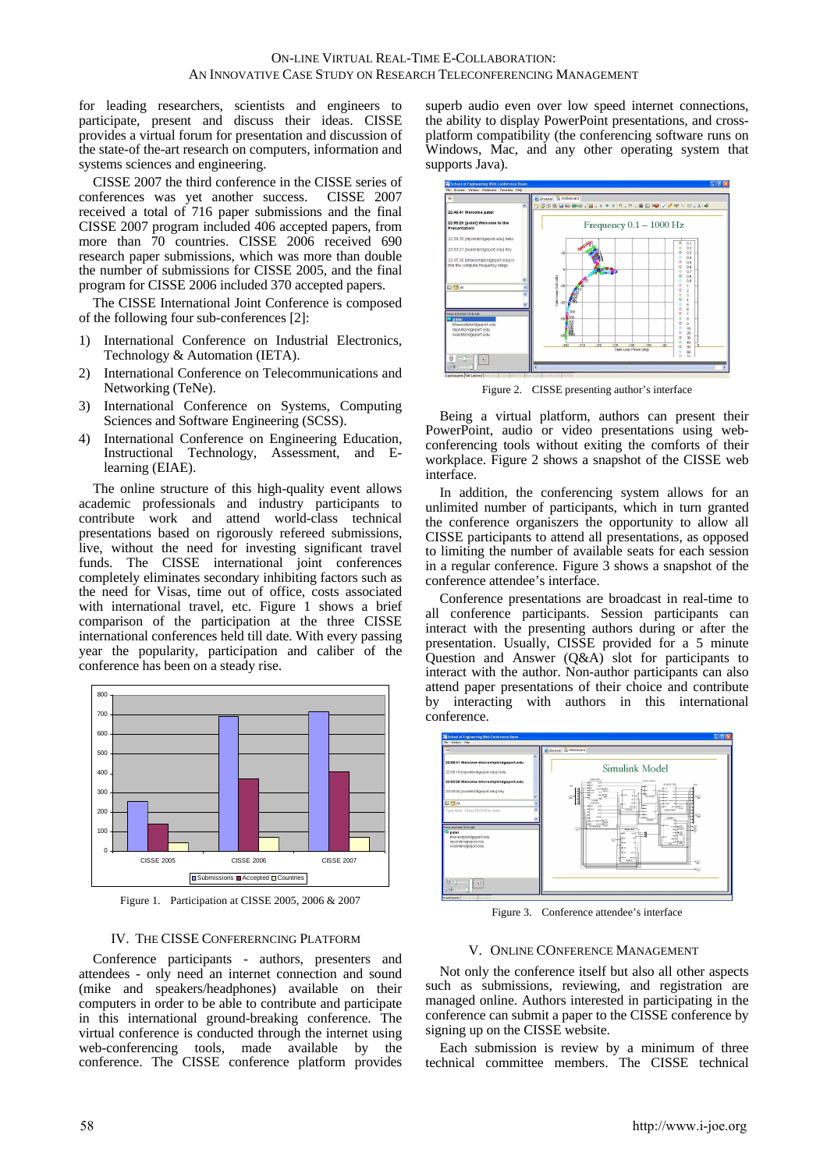for leading researchers, scientists and engineers to participate, present and discuss their ideas. CISSE provides a virtual forum for presentation and discussion of the state-of the-art research on computers, information and systems sciences and engineering.

CISSE 2007 the third conference in the CISSE series of conferences was yet another success. CISSE 2007 received a total of 716 paper submissions and the final CISSE 2007 program included 406 accepted papers, from more than 70 countries. CISSE 2006 received 690 research paper submissions, which was more than double the number of submissions for CISSE 2005, and the final program for CISSE 2006 included 370 accepted papers.

The CISSE International Joint Conference is composed of the following four sub-conferences [2]:

- 1) International Conference on Industrial Electronics, Technology & Automation (IETA).
- 2) International Conference on Telecommunications and Networking (TeNe).
- 3) International Conference on Systems, Computing Sciences and Software Engineering (SCSS).
- 4) International Conference on Engineering Education, Instructional Technology, Assessment, and Elearning (EIAE).

The online structure of this high-quality event allows academic professionals and industry participants to contribute work and attend world-class technical presentations based on rigorously refereed submissions, live, without the need for investing significant travel funds. The CISSE international joint conferences completely eliminates secondary inhibiting factors such as the need for Visas, time out of office, costs associated with international travel, etc. Figure 1 shows a brief comparison of the participation at the three CISSE international conferences held till date. With every passing year the popularity, participation and caliber of the conference has been on a steady rise.



Figure 1. Participation at CISSE 2005, 2006 & 2007

#### IV. THE CISSE CONFERERNCING PLATFORM

Conference participants - authors, presenters and attendees - only need an internet connection and sound (mike and speakers/headphones) available on their computers in order to be able to contribute and participate in this international ground-breaking conference. The virtual conference is conducted through the internet using web-conferencing tools, made available by the conference. The CISSE conference platform provides

superb audio even over low speed internet connections, the ability to display PowerPoint presentations, and crossplatform compatibility (the conferencing software runs on Windows, Mac, and any other operating system that supports Java).



Figure 2. CISSE presenting author's interface

Being a virtual platform, authors can present their PowerPoint, audio or video presentations using webconferencing tools without exiting the comforts of their workplace. Figure 2 shows a snapshot of the CISSE web interface.

In addition, the conferencing system allows for an unlimited number of participants, which in turn granted the conference organiszers the opportunity to allow all CISSE participants to attend all presentations, as opposed to limiting the number of available seats for each session in a regular conference. Figure 3 shows a snapshot of the conference attendee's interface.

Conference presentations are broadcast in real-time to all conference participants. Session participants can interact with the presenting authors during or after the presentation. Usually, CISSE provided for a 5 minute Question and Answer (Q&A) slot for participants to interact with the author. Non-author participants can also attend paper presentations of their choice and contribute by interacting with authors in this international conference.



Figure 3. Conference attendee's interface

#### V. ONLINE CONFERENCE MANAGEMENT

Not only the conference itself but also all other aspects such as submissions, reviewing, and registration are managed online. Authors interested in participating in the conference can submit a paper to the CISSE conference by signing up on the CISSE website.

Each submission is review by a minimum of three technical committee members. The CISSE technical